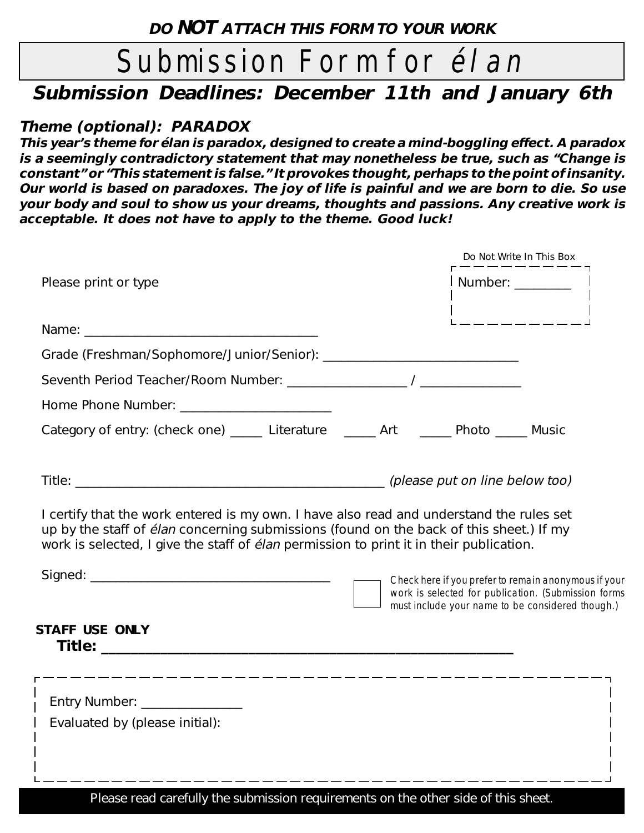# Submission Form for *élan*

# **Submission Deadlines: December 11th and January 6th**

### **Theme (optional): PARADOX**

**This year's theme for élan is paradox, designed to create a mind-boggling effect. A paradox is a seemingly contradictory statement that may nonetheless be true, such as "Change is constant" or "This statement is false." It provokes thought, perhaps to the point of insanity. Our world is based on paradoxes. The joy of life is painful and we are born to die. So use your body and soul to show us your dreams, thoughts and passions. Any creative work is acceptable. It does not have to apply to the theme. Good luck!**

|                                                                                                                                                                                                                                                                                       | Do Not Write In This Box |                                                                                                                                                                 |  |
|---------------------------------------------------------------------------------------------------------------------------------------------------------------------------------------------------------------------------------------------------------------------------------------|--------------------------|-----------------------------------------------------------------------------------------------------------------------------------------------------------------|--|
| Please print or type                                                                                                                                                                                                                                                                  |                          | Number: _________                                                                                                                                               |  |
| Name: Name:                                                                                                                                                                                                                                                                           |                          |                                                                                                                                                                 |  |
|                                                                                                                                                                                                                                                                                       |                          |                                                                                                                                                                 |  |
|                                                                                                                                                                                                                                                                                       |                          |                                                                                                                                                                 |  |
|                                                                                                                                                                                                                                                                                       |                          |                                                                                                                                                                 |  |
| Category of entry: (check one) ______ Literature _______ Art _______ Photo ______ Music                                                                                                                                                                                               |                          |                                                                                                                                                                 |  |
|                                                                                                                                                                                                                                                                                       |                          |                                                                                                                                                                 |  |
|                                                                                                                                                                                                                                                                                       |                          |                                                                                                                                                                 |  |
| I certify that the work entered is my own. I have also read and understand the rules set<br>up by the staff of élan concerning submissions (found on the back of this sheet.) If my<br>work is selected, I give the staff of <i>élan</i> permission to print it in their publication. |                          |                                                                                                                                                                 |  |
|                                                                                                                                                                                                                                                                                       |                          | Check here if you prefer to remain anonymous if your<br>work is selected for publication. (Submission forms<br>must include your name to be considered though.) |  |
| <b>STAFF USE ONLY</b>                                                                                                                                                                                                                                                                 |                          |                                                                                                                                                                 |  |
|                                                                                                                                                                                                                                                                                       |                          |                                                                                                                                                                 |  |
|                                                                                                                                                                                                                                                                                       |                          |                                                                                                                                                                 |  |
| Entry Number: _________________<br>Evaluated by (please initial):                                                                                                                                                                                                                     |                          |                                                                                                                                                                 |  |
|                                                                                                                                                                                                                                                                                       |                          |                                                                                                                                                                 |  |
|                                                                                                                                                                                                                                                                                       |                          |                                                                                                                                                                 |  |
| $   -$                                                                                                                                                                                                                                                                                |                          |                                                                                                                                                                 |  |

Please read carefully the submission requirements on the other side of this sheet.